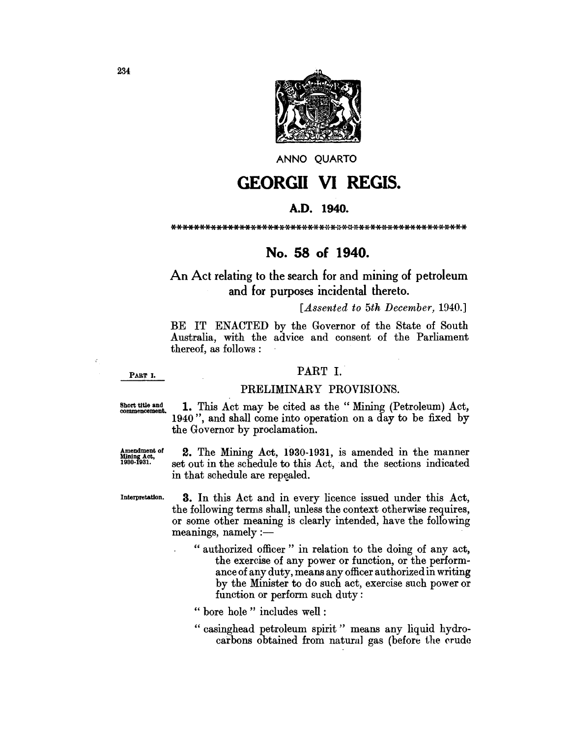

ANNO QUARTO

# **GEORGII VI REGIS.**

## A.D. 1940.

# No. 58 of 1940.

# An Act relating to the search for and mining of petroleum and for purposes incidental thereto.

## *[.Assented to 5th December, 1940.]*

BE IT ENACTED by the Governor of the State of South Australia, with the advice and consent of the Parliament thereof, as follows :

PART I.

# PART I.

### PRELIMINARY PROVISIONS.

Short title and **1.** This Act may be cited as the "Mining (Petroleum) Act, 1940 ", and shall come into operation on a day to be fixed by the Governor by proclamation.

 $\frac{\text{Amendment of}}{\text{Mining}}$  **2.** The Mining Act, 1930-1931, is amended in the manner<br> $\frac{\text{Mining} \times \text{C}}{\text{1930-1931}}$  set out in the schedule to this Act, and the sections indicated set out in the schedule to this Act, and the sections indicated in that schedule are repealed.

Interpretation. 3. In this Act and in every licence issued under this Act, the following terms shall, unless the context otherwise requires, or some other meaning is clearly intended, have the following  $m$ eanings, namely  $:=$ 

- " authorized officer" in relation to the doing of any act, the exercise of any power or function, or the performance of any duty, means any officer authorized in writing by the Minister to do such act, exercise such power or function or perform such duty:
- " bore hole" includes well :
- " casinghead petroleum spirit" means any liquid hydrocarbons obtained from natural gas (before the crude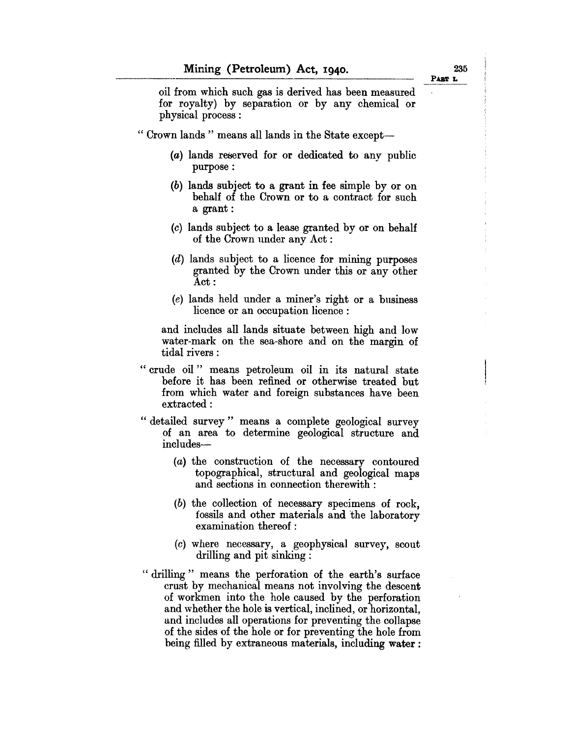PART L

oil from which such gas is derived has been measured for royalty) by separation or by any chemical or physical process :

" Crown lands" means all lands in the State except-

- $(a)$  lands reserved for or dedicated to any public purpose:
- (b) lands subject to a grant in fee simple by or on behalf of the Crown or to a contract for such a grant:
- (c) lands subject to a lease granted by or on behalf of the Crown under any Act:
- (d) lands subject to a licence for mining purposes granted by the Crown under this or any other Act:
- (e) lands held under a miner's right or a business licence or an occupation licence :

and includes all lands situate between high and low water-mark on the sea-shore and on the margin of tidal rivers:

- "crude oil" means petroleum oil in its natural state before it has been refined or otherwise treated but from which water and foreign substances have been extracted:
- "detailed survey" means a complete geological survey of an area to determine geological structure and includes-
	- (a) the construction of the necessary contoured topographical, structural and geological maps and sections in connection therewith:
	- (b) the collection of necessary specimens of rock, fossils and other materials and the laboratory examination thereof:
	- (c) where necessary, a geophysical survey, scout drilling and pit sinking :
- " drilling" means the perforation of the earth's surface crust by mechanical means not involving the descent of workmen into the hole caused by the perforation and whether the hole is vertical, inclined, or horizontal, and includes all operations for preventing the collapse of the sides of the hole or for preventing the hole from being filled by extraneous materials, including water: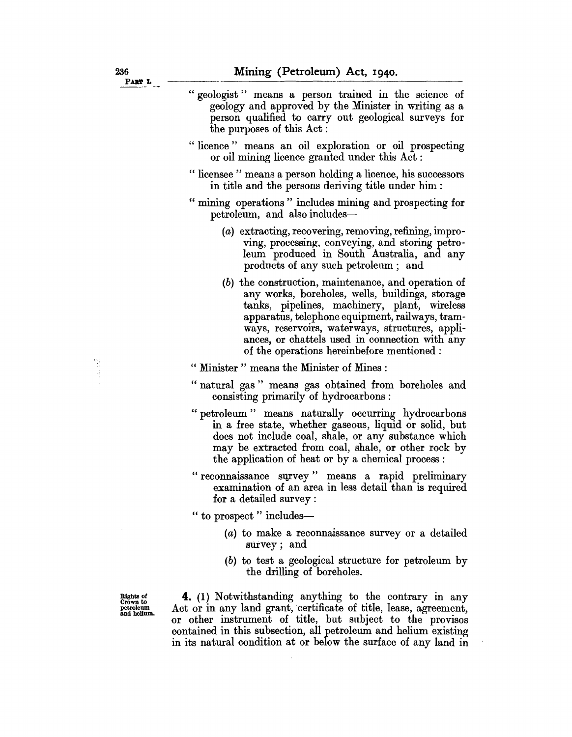| PART L                                            |                                                                                                                                                                                                                                                                                                                                                              |
|---------------------------------------------------|--------------------------------------------------------------------------------------------------------------------------------------------------------------------------------------------------------------------------------------------------------------------------------------------------------------------------------------------------------------|
|                                                   | " geologist " means a person trained in the science of<br>geology and approved by the Minister in writing as a<br>person qualified to carry out geological surveys for<br>the purposes of this Act:                                                                                                                                                          |
|                                                   | "licence" means an oil exploration or oil prospecting<br>or oil mining licence granted under this Act:                                                                                                                                                                                                                                                       |
|                                                   | " licensee " means a person holding a licence, his successors<br>in title and the persons deriving title under him :                                                                                                                                                                                                                                         |
|                                                   | " mining operations" includes mining and prospecting for<br>petroleum, and also includes-                                                                                                                                                                                                                                                                    |
|                                                   | (a) extracting, recovering, removing, refining, impro-<br>ving, processing, conveying, and storing petro-<br>leum produced in South Australia, and any<br>products of any such petroleum; and                                                                                                                                                                |
|                                                   | (b) the construction, maintenance, and operation of<br>any works, boreholes, wells, buildings, storage<br>tanks, pipelines, machinery, plant, wireless<br>apparatus, telephone equipment, railways, tram-<br>ways, reservoirs, waterways, structures, appli-<br>ances, or chattels used in connection with any<br>of the operations hereinbefore mentioned : |
|                                                   | " Minister " means the Minister of Mines :                                                                                                                                                                                                                                                                                                                   |
|                                                   | "natural gas" means gas obtained from boreholes and<br>consisting primarily of hydrocarbons:                                                                                                                                                                                                                                                                 |
|                                                   | " petroleum " means naturally occurring hydrocarbons<br>in a free state, whether gaseous, liquid or solid, but<br>does not include coal, shale, or any substance which<br>may be extracted from coal, shale, or other rock by<br>the application of heat or by a chemical process :                                                                          |
|                                                   | "reconnaissance survey" means a rapid preliminary<br>examination of an area in less detail than is required<br>for a detailed survey:                                                                                                                                                                                                                        |
|                                                   | " to prospect " includes—                                                                                                                                                                                                                                                                                                                                    |
|                                                   | (a) to make a reconnaissance survey or a detailed<br>survey; and                                                                                                                                                                                                                                                                                             |
|                                                   | (b) to test a geological structure for petroleum by<br>the drilling of boreholes.                                                                                                                                                                                                                                                                            |
| Rights of<br>Crown to<br>petroleum<br>and helium. | 4. (1) Notwithstanding anything to the contrary in any<br>Act or in any land grant, certificate of title, lease, agreement,<br>or other instrument of title, but subject to the provisos<br>contained in this subsection, all petroleum and helium existing<br>in its natural condition at or below the surface of any land in                               |

 $\sim 10^7$ 

 $\sim$ 

**11** 

 $\hat{\boldsymbol{\cdot}$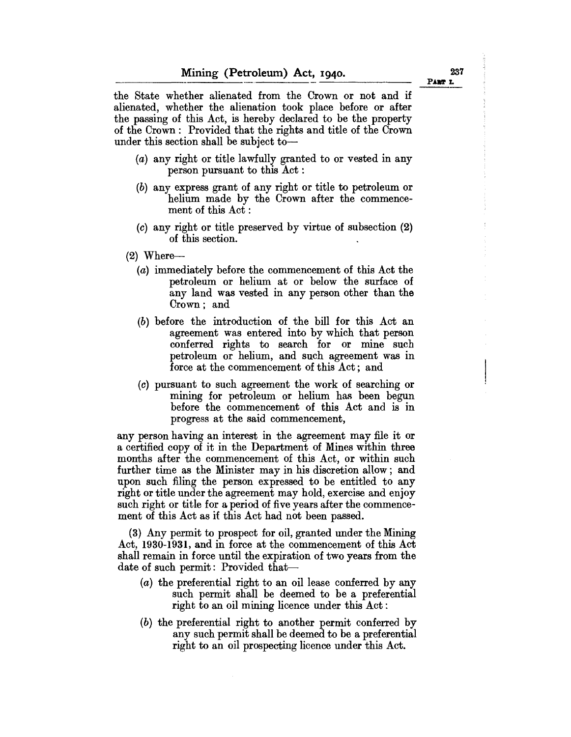the State whether alienated from the Crown or not and if alienated, whether the alienation took place before or after the passing of this Act, is hereby declared to be the property of the Crown: Provided that the rights and title of the Crown under this section shall be subject to-

- (a) any right or title lawfully granted to or vested in any person pursuant to this Act:
- (b) any express grant of any right or title to petroleum or helium made by the Crown after the commencement of this Act:
- (c) any right or title preserved by virtue of subsection (2) of this section.
- $(2)$  Where-
	- (a) immediately before the commencement of this Act the petroleum or helium at or below the surface of any land was vested in any person other than the Crown; and
	- (b) before the introduction of the bill for this Act an agreement was entered into by which that person conferred rights to search for or mine such petroleum or helium, and such agreement was in force at the commencement of this Act; and
	- (c) pursuant to such agreement the work of searching or mining for petroleum or helium has been begun before the commencement of this Act and is in progress at the said commencement,

any person having an interest in the agreement may file it or a certified copy of it in the Department of Mines within three months after the commencement of this Act, or within such further time as the Minister may in his discretion allow; and upon such filing the person expressed to be entitled to any right or title under the agreement may hold, exercise and enjoy such right or title for a period of five years after the commencement of this Act as if this Act had not been passed.

(3) Any permit to prospect for oil, granted under the Mining Act, 1930-1931, and in force at the commencement of this Act shall remain in force until the expiration of two years from the date of such permit: Provided that-

- (a) the preferential right to an oil lease conferred by any such permit shall be deemed to be a preferential right to an oil mining licence under this Act:
- (b) the preferential right to another permit conferred by any such permit shall be deemed to be a preferential right to an oil prospecting licence under this Act.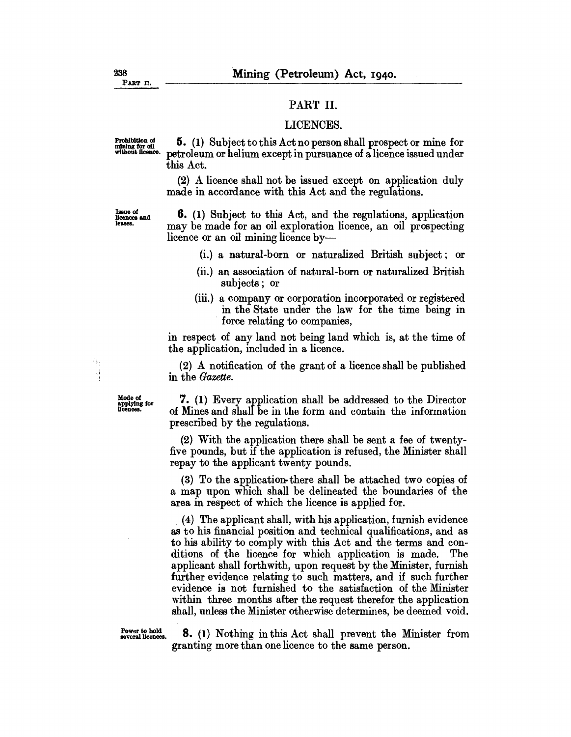#### PART II.

#### LICENCES.

Prohibition of  $\frac{5}{\text{mining for all}}$  5. (1) Subject to this Act no person shall prospect or mine for without licence. netroleum or helium except in pursuance of a licence issued under petroleum or helium except in pursuance of a licence issued under this Act.

> (2) A licence shall not be issued except on application duly made in accordance with this Act and the regulations.

Issue of llcences and leases.

6. (1) Subject to this Act, and the regulations, application may be made for an oil exploration licence, an oil prospecting licence or an oil mining licence by-

- (i.) a natural-born or naturalized British subject; or
- (ii.) an association of natural-born or naturalized British subjects; or
- (iii.) a company or corporation incorporated or registered in the State under the law for the time being in force relating to companies,

in respect of any land not being land which is, at the time of the application, included in a licence.

(2) A notification of the grant of a licence shall be published in the *Gazette.* 

Ýą ă

> Mode of  $\frac{1}{2}$ . (1) Every application shall be addressed to the Director applying for  $\frac{1}{2}$  of Mines and shall be in the form and contain the information of Mines and shall be in the form and contain the information prescribed by the regulations.

> > (2) With the application there shall be sent a fee of twentyfive pounds, but if the application is refused, the Minister shall repay to the applicant twenty pounds.

> > (3) To the application-there shall be attached two copies of a map upon which shall be delineated the boundaries of the area in respect of which the licence is applied for.

> > (4) The applicant shall, with his application, furnish evidence as to his financial position and technical qualifications, and as to his ability to comply with this Act and the terms and conditions of the licence for which application is made. The applicant shall forthwith, upon request by the Minister, furnish further evidence relating to such matters, and if such further evidence is not furnished to the satisfaction of the Minister within three months after the request therefor the application shall, unless the Minister otherwise determines, be deemed void.

Power to hold<br>several licences. 8. (1) Nothing in this Act shall prevent the Minister from granting more than one licence to the same person.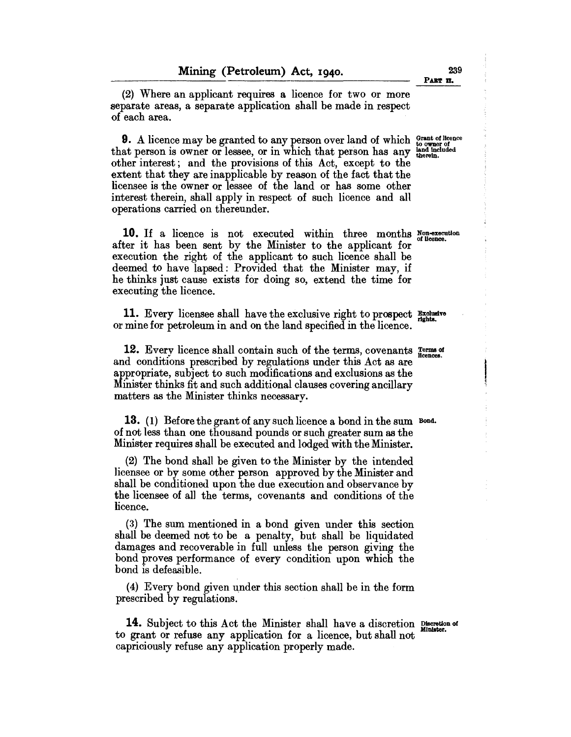(2) Where an applicant requires a licence for two or more separate areas, a separate application shall be made in respect of each area.

9. A licence may be granted to any person over land of which Grant of Ilcence that person is owner or lessee, or in which that person has any land included other interest; and the provisions of this Act, except to the extent that they are inapplicable by reason of the fact that the licensee is the owner or lessee of the land or has some other interest therein, shall apply in respect of such licence and all operations carried on thereunder.

10. If a licence is not executed within three months Non-execution after it has been sent by the Minister to the applicant for execution the right of the applicant to such licence shall be deemed to have lapsed: Provided that the Minister may, if he thinks just cause exists for doing so, extend the time for executing the licence.

11. Every licensee shall have the exclusive right to prospect **Exclusive** or mine for petroleum in and on the land specified in the licence.

12. Every licence shall contain such of the terms, covenants Terms of licences. and conditions prescribed by regulations under this Act as are appropriate, subject to such modifications and exclusions as the Minister thinks fit and such additional clauses covering ancillary matters as the Minister thinks necessary.

13. (1) Before the grant of any such licence a bond in the sum Bond. of not less than one thousand pounds or such greater sum as the Minister requires shall be executed and lodged with the Minister.

(2) The bond shall be given to the Minister by the intended licensee or by some other person approved by the Minister and shall be conditioned upon the due execution and observance by the licensee of al1 the terms, covenants and conditions of the licence.

(3) The sum mentioned in a bond given under this section shall be deemed not to be a penalty, but shall be liquidated damages and recoverable in full unless the person giving the bond proves performance of every condition upon which the bond is defeasible.

 $(4)$  Every bond given under this section shall be in the form prescribed by regulations.

14. Subject to this Act the Minister shall have a discretion Discretion of to grant or refuse any application for a licence, but shall not capriciously refuse any application properly made.

239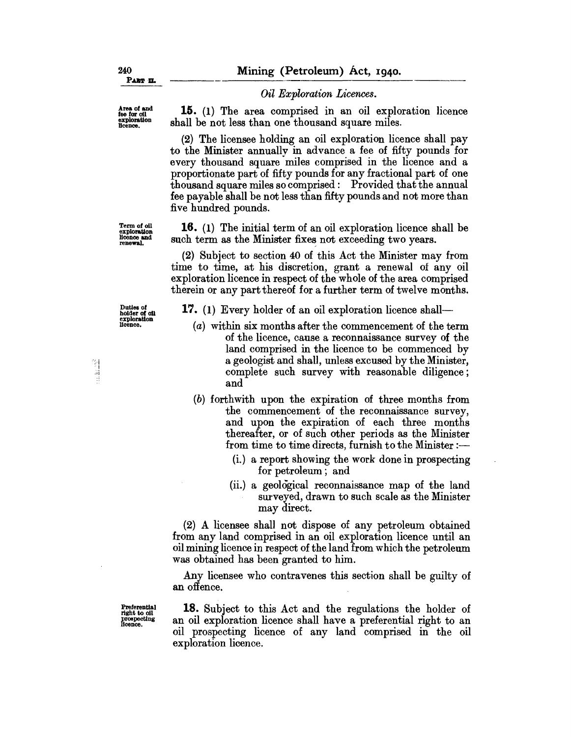#### *Oil Exploration Licences.*

15. (1) The area comprised in an oil exploration licence shall be not less than one thousand square miles.

(2) The licensee holding an oil exploration licence shall pay to the Minister annually in ad vance a fee of fifty pounds for every thousand square miles comprised in the licence and a proportionate part of fifty pounds for any fractional part of one thousand square miles so comprised: Provided that the annual fee payable shall be not less than fifty pounds and not more than five hundred pounds.

16. (1) The initial term of an oil exploration licence shall be such term as the Minister fixes not exceeding two years.

(2) Subject to section 40 of this Act the Minister may from time to time, at his discretion, grant a renewal of any oil exploration licence in respect of the whole of the area comprised therein or any part thereof for a further term of twelve months.

17. (1) Every holder of an oil exploration licence shall-

- (a) within six months after the commencement of the term of the licence, cause a reconnaissance survey of the land comprised in the licence to be commenced by a geologist and shall, unless excused by the Minister, complete such survey with reasonable diligence; and
- (b) forthwith upon the expiration of three months from the commencement of the reconnaissance survey, and upon the expiration of each three months thereafter, or of such other periods as the Minister from time to time directs, furnish to the Minister  $:$ 
	- (i.) a report showing the work done in prospecting for petroleum; and
	- (ii.) a geological reconnaissance map of the land surveyed, drawn to such scale as the Minister may direct.

(2) A licensee shall not dispose of any petroleum obtained from any land comprised in an oil exploration licence until an oil mining licence in respect of the land from which the petroleum was obtained has been granted to him.

Any licensee who contravenes this section shall be guilty of an offence. .

18. Subject to this Act and the regulations the holder of an oil exploration licence shall have a preferential right to an oil prospecting licence of any land comprised in the oil exploration licence.

Term of 011 exploration Hoonoo and renewal.

Duties *ot*  holder of oil exploration Hcence.

Area of and<br>fee for oil<br>exploration<br>licence.

 $\frac{2\pi}{3}$ 計畫

> Preferential right to oil<br>prospecting<br>licence.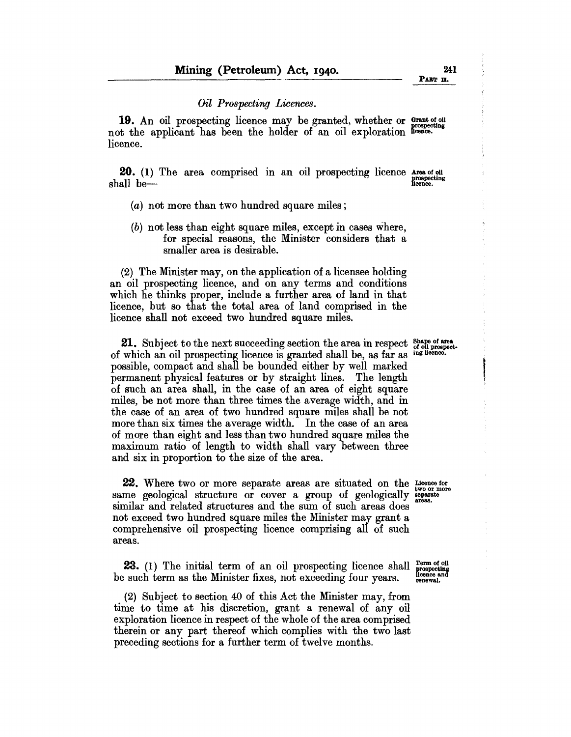#### *Oil Prospecting Licences.*

19. An oil prospecting licence may be granted, whether or Grantotoll not the applicant has been the holder of an oil exploration Reence. licence.

**20.** (1) The area comprised in an oil prospecting licence Area of oil prospecting shall be-

- (a) not more than two hundred square miles;
- (b) not less than eight square miles, except in cases where, for special reasons, the Minister considers that a smaller area is desirable.

 $(2)$  The Minister may, on the application of a licensee holding an oil prospecting licence, and on any terms and conditions which he thinks proper, include a further area of land in that licence, but so that the total area of land comprised in the licence shall not exceed two hundred square miles.

**21.** Subject to the next succeeding section the area in respect  $\frac{6 \text{ hape of area}}{2 \text{ hode}}$  which an oil prospecting licence is granted shall be as far as inglicence. of which an oil prospecting licence is granted shall be, as far as possible, compact and shall be bounded either by well marked permanent physical features or by straight lines. The length of such an area shall, in the case of an area of eight square miles, be not more than three times the average width, and in the case of an area of two hundred square miles shall be not more than six times the average width. In the case of an area of more than eight and less than two hundred square miles the maximum ratio of length to width shall vary between three and six in proportion to the size of the area.

**22.** Where two or more separate areas are situated on the  $\frac{1}{2}$ 22. Where two or more separate areas are situated on the Licence for same geological structure or cover a group of geologically separate same geological structure or cover a group of geologically sparster similar and related structures and the sum of such areas does not exceed two hundred square miles the Minister may grant a comprehensive oil prospecting licence comprising all of such areas.

23. (1) The initial term of an oil prospecting licence shall  $\frac{\text{Term of old}}{\text{propsecting}}$ be such term as the Minister fixes, not exceeding four years. Respective a

(2) Subject to section 40 of this Act the Minister may, from time to time at his discretion, grant a renewal of any oil exploration licence in respect of the whole of the area comprised therein or any part thereof which complies with the two last preceding sections for a further term of twelve months.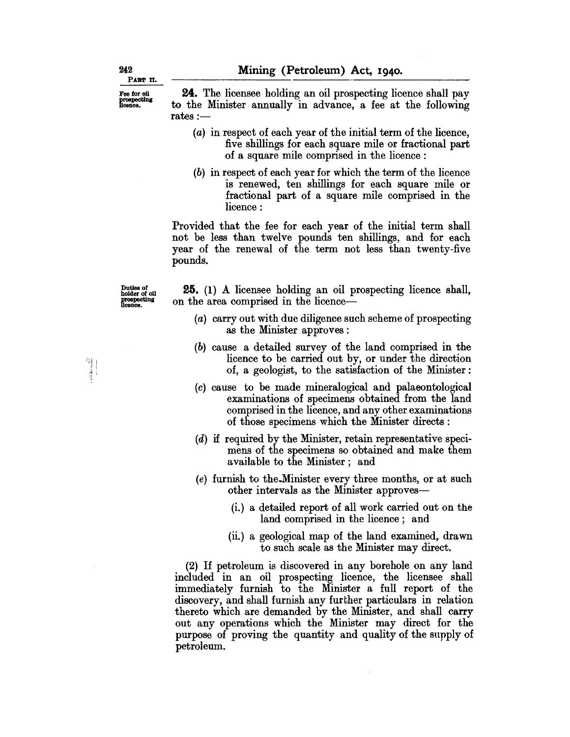Mining (Petroleum) Act, 1940.<br>24. The licensee holding an oil prospecting licence shall pay to the Minister annually in advance, a fee at the following rates :-

- (a) in respect of each year of the initial term of the licence, five shillings for each square mile or fractional part of a square mile comprised in the licence :
- (b) in respect of each year for which the term of the licence is renewed, ten shillings for each square mile or fractional part of a square mile comprised in the licence:

Provided that the fee for each year of the initial term shall not be less than twelve pounds ten shillings, and for each year of the renewal of the term not less than twenty-five pounds.

Duties of holder of 011 prospecting<br>licence.

25. (1) A licensee holding an oil prospecting licence shall, on the area comprised in the licence-

- (a) carry out with due diligence such scheme of prospecting as the Minister approves:
- (b) cause a detailed survey of the land comprised in the licence to be carried out by, or under the direction of, a geologist, to the satisfaction of the Minister:
- (c) cause to be made mineralogical and palaeontological examinations of specimens obtained from the land comprised in the licence, and any other examinations of those specimens which the Minister directs:
- (d) if required by the Minister, retain representative specimens of the specimens so obtained and make them available to the Minister; and
- (e) furnish to the.Minister every three months, or at such other intervals as the Minister approves-
	- (i.) a detailed report of all work carried out on the land comprised in the licence; and
	- (ii.) a geological map of the land examined, drawn to such scale as the Minister may direct.

(2) If petroleum is discovered in any borehole on any land included in an oil prospecting licence, the licensee shall immediately furnish to the Minister a full report of the discovery, and shall furnish any further particulars in relation thereto which are demanded by the Minister, and shall carry out any operations which the Minister may direct for the purpose of proving the quantity and quality of the supply of petroleum.

Fee for oil prospecting licence.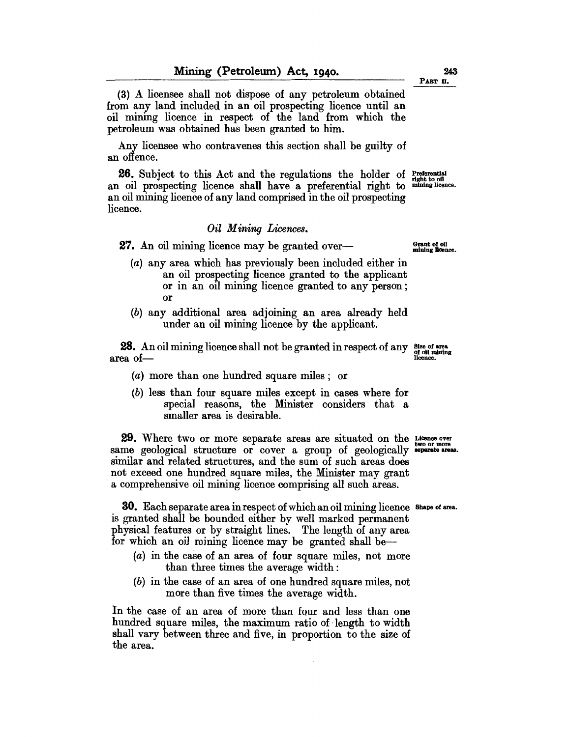(3) A licensee shall not dispose of any petroleum obtained from any land included in an oil prospecting licence until an oil mining licence in respect of the land from which the petroleum was obtained has been granted to him.

Any licensee who contravenes this section shall be guilty of an offence.

**26.** Subject to this Act and the regulations the holder of **Preferential** an oil prospecting licence shall have a preferential right to mining licence. an oil mining licence of any land comprised in the oil prospecting licence.

#### *Oil Mining Licences.*

27. An oil mining licence may be granted over-

- (a) any area which has previously been included either in an oil prospecting licence granted to the applicant or in an oil mining licence granted to any person; or
- (b) any additional area adjoining an area already held under an oil mining licence by the applicant.

**28.** An oil mining licence shall not be granted in respect of any  $\frac{\text{Size of area}}{\text{of } \text{of } \text{in } \text{mining}}$  area of-

- (a) more than one hundred square miles; or
- (b) less than four square miles except in cases where for speciaJ reasons, the Minister considers that a smaller area is desirable.

**29.** Where two or more separate areas are situated on the Licence over same geological structure or cover a group of geologically **\*parate areas.** similar and related structures, and the sum of such areas does not exceed one hundred square miles, the Minister may grant a comprehensive oil mining licence comprising all such areas.

30. Each separate area in respect of which an oil mining licence Shape otarea. is granted shall be bounded either by well marked permanent physical features or by straight lines. The length of any area for which an oil mining licence may be granted shall be-

- (a) in the case of an area of four square miles, not more than three times the average width:
- (b) in the case of an area of one hundred square miles, not more than five times the average width.

In the case of an area of more than four and less than one hundred square miles, the maximum ratio of length to width shall vary between three and five, in proportion to the size of the area.

Grant of 011 mining Hcence.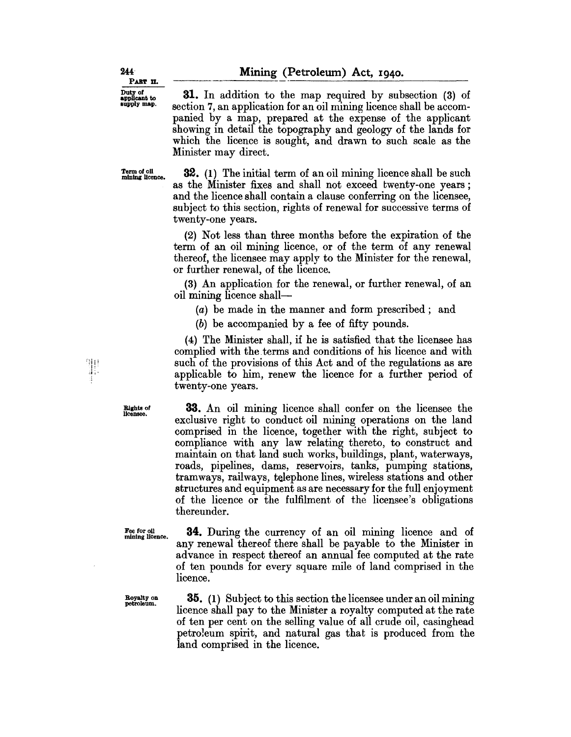31. In addition to the map required by subsection (3) of section 7, an application for an oil mining licence shall be accompanied by a map, prepared at the expense of the applicant showing in detail the topography and geology of the lands for which the licence is sought, and drawn to such scale as the Minister may direct.

Term of oil<br>mining licence.

32. (1) The initial term of an oil mining licence shall be such as the Minister fixes and shall not exceed twenty-one years; and the licence shall contain a clause conferring on the licensee, subject to this section, rights of renewal for successive terms of twenty-one years.

(2) Not less than three months before the expiration of the term of an oil mining licence, or of the term of any renewal thereof, the licensee may apply to the Minister for the renewal, or further renewal, of the licence.

(3) An application for the renewal, or further renewal, of an oil mining licence shall-

(a) be made in the manner and form prescribed; and

(b) be accompanied by a fee of fifty pounds.

(4) The Minister shall, if he is satisfied that the licensee has complied with the.terms and conditions of his licence and with such of the provisions of this Act and of the regulations as are applicable to him, renew the licence for a further period of twenty-one years.

33. An oil mining licence shall confer on the licensee the exclusive right to conduct oil mining operations on the land comprised in the licence, together with the right, subject to compliance with any law relating thereto, to construct and maintain on that land such works, buildings, plant, waterways, roads, pipelines, dams, reservoirs, tanks, pumping stations, tramways, railways, telephone lines, wireless stations and other structures and equipment as are necessary for the full enjoyment of the licence or the fulfilment of the licensee's obligations thereunder.

Fee for oil mining licence.

Rights 0' licensee.

""Ili "i': .iill'

34. During the currency of an oil mining licence and of any renewal thereof there shall be payable to the Minister in advance in respect thereof an annual fee computed at the rate of ten pounds for every square mile of land comprised in the licence.

Royalty on petroleum.

35. (1) Subject to this section the licensee under an oil mining licence shall pay to the Minister a royalty computed at the rate of ten per cent on the selling value of all crude oil, casinghead petro1eum spirit, and natural gas that is produced from the land comprised in the licence.

Duty of<br>applicant to<br>supply map.

PART II.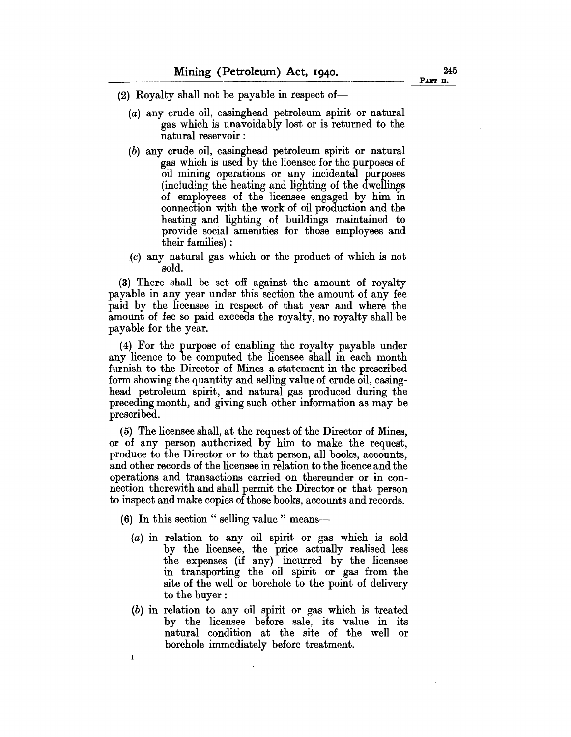- $(2)$  Royalty shall not be payable in respect of-
	- (a) any crude oil, casinghead petroleum spirit or natural gas which is unavoidably lost or is returned to the natural reservoir:
	- (b) any crude oil, casinghead petroleum spirit or natural gas which is used by the licensee for the purposes of oil mining operations or any incidental purposes (including the heating and lighting of the dwellings of employees of the licensee engaged by him in connection with the work of oil production and the heating and lighting of buildings maintained to provide social amenities for those employees and their families) :
	- (c) any natural gas which or the product of which is not sold.

(3) There shall be set off against the amount of royalty payable in any year under this section the amount of any fee paid by the licensee in respect of that year and where the amount of fee so paid exceeds the royalty, no royalty shall be payable for the year.

(4) For the purpose of enabling the royalty payable under any licence to be computed the licensee shall in each month furnish to the Director of Mines a statement in the prescribed form showing the quantity and selling value of crude oil, casinghead petroleum spirit, and natural gas produced during the preceding month, and giving such other information as may be prescribed.

(5) The licensee shall, at the request of the Director of Mines, or of any person authorized by him to make the request, produce to the Director or to that person, all books, accounts, and other records of the licensee in relation to the licence and the operations and transactions carried on thereunder or in connection therewith and shall permit the Director or that person to inspect and make copies of those books, accounts and records.

(6) In this section " selling value " means-

I

- (a) in relation to any oil spirit or gas which is sold by the licensee, the price actually realised less the expenses (if any) incurred by the licensee in transporting the oil spirit or gas from the site of the well or borehole to the point of delivery to the buyer:
- (b) in relation to any oil spirit or gas which is treated by the licensee before sale, its value in its natural condition at the site of the well or borehole immediately before treatment.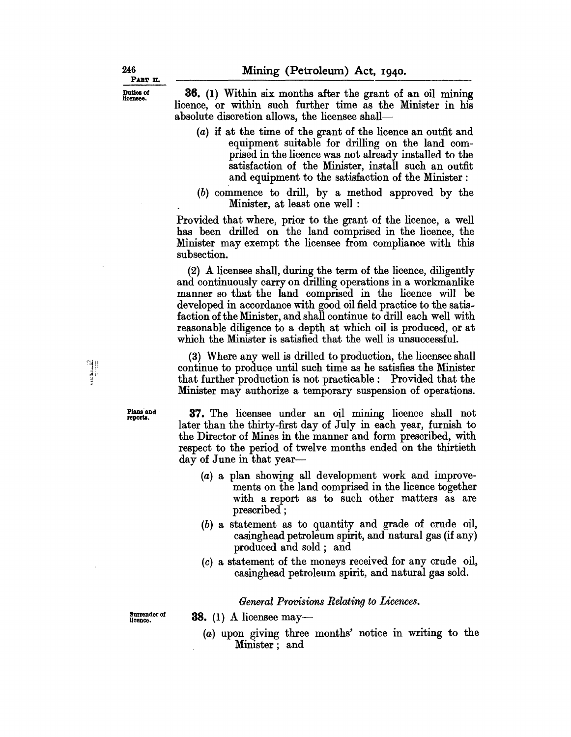36. (1) Within six months after the grant of an oil mining licence, or within such further time as the Minister in his absolute discretion allows, the licensee shall-

- (a) if at the time of the grant of the licence an outfit and equipment suitable for drilling on the land comprised in the licence was not already installed to the satisfaction of the Minister, install such an outfit and equipment to the satisfaction of the Minister:
- (b) commence to drill, by a method approved by the Minister, at least one well :

Provided that where, prior to the grant of the licence, a well has been drilled on the land comprised in the licence, the Minister may exempt the licensee from compliance with this subsection.

(2) A licensee shall, during the term of the licence, diligently and continuously carry on drilling operations in a workmanlike manner so that the land comprised in the licence will be developed in accordance with good oil field practice to the satisfaction of the Minister, and shall continue to drill each well with reasonable diligence to a depth at which oil is produced, or at which the Minister is satisfied that the well is unsuccessful.

(3) Where any well is drilled to production, the licensee shall continue to produce until such time as he satisfies the Minister that further production is not practicable: Provided that the Minister may authorize a temporary suspension of operations.

Plans and reports.

37. The licensee under an oil mining licence shall not later than the thirty-first day of July in each year, furnish to the Director of Mines in the manner and form prescribed, with respect to the period of twelve months ended on the thirtieth day of June in that year-

- (a) a plan showing all development work and improvements on the land comprised in the licence together with a report as to such other matters as are prescribed ;
- (b) a statement as to quantity and grade of crude oil, casinghead petroleum spirit, and natural gas (if any) produced and sold; and
- (0) a statement of the moneys received for any crude oil, casinghead petroleum spirit, and natural gas sold.

*General Provisions Relating to Licences.* 

**38.** (1) A licensee may—

Surrender of licence.

(a) upon giving three months' notice in writing to the Minister; and

Duties of<br>licensee.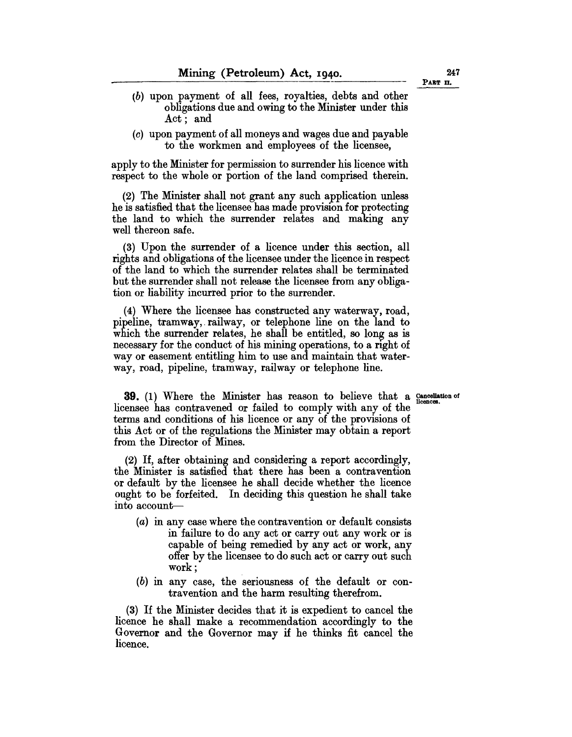- (b) upon payment of all fees, royalties, debts and other obligations due and owing to the Minister under this Act; and
- (c) upon payment of all moneys and wages due and payable to the workmen and employees of the licensee,

apply to the Minister for permission to surrender his licence with respect to the whole or portion of the land comprised therein.

(2) The Minister shall not grant any such application unless he is satisfied that the licensee has made provision for protecting the land to which the surrender relates and making any well thereon safe.

(3) Upon the surrender of a licence under this section, all rights and obligations of the licensee under the licence in respect of the land to which the surrender relates shall be terminated but the surrender shall not release the licensee from anyobligation or liability incurred prior to the surrender.

(4) Where the licensee has constructed any waterway, road, pipeline, tramway, railway, or telephone line on the land to which the surrender relates, he shall be entitled, so long as is necessary for the conduct of his mining operations, to a right of way or easement entitling him to use and maintain that waterway, road, pipeline, tramway, railway or telephone line.

**39.** (1) Where the Minister has reason to believe that a Cancellation of licensee has contravened or failed to comply with any of the terms and conditions of his licence or any of the provisions of this Act or of the regulations the Minister may obtain a report from the Director of Mines.

(2) If, after obtaining and considering a report accordingly, the Minister is satisfied that there has been a contravention or default by the licensee he shall decide whether the licence ought to be forfeited. In deciding this question he shall take into account-

- (a) in any case where the contravention or default consists in failure to do any act or carry out any work or is capable of being remedied by any act or work, any offer by the licensee to do such act or carry out such work;
- (b) in any case, the seriousness of the default or contravention and the harm resulting therefrom.

(3) If the Minister decides that it is expedient to cancel the licence he shall make a recommendation accordingly to the Governor and the Governor may if he thinks fit cancel the licence.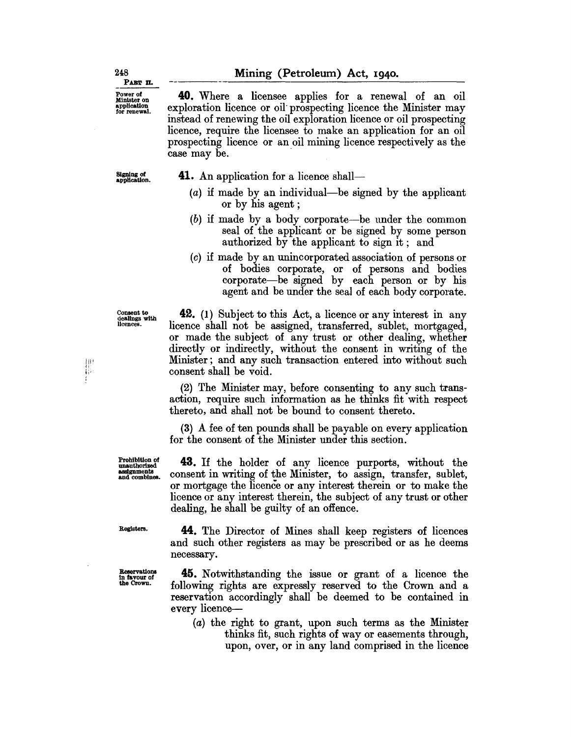**40.** Where a licensee applies for a renewal of an oil exploration licence or oil prospecting licence the Minister may instead of renewing the oil exploration licence or oil prospecting licence, require the licensee to make an application for an oil prospecting licence or an oil mining licence respectively as the case may be.

SIgning of application.

**41.** An application for a licence shall—

- $(a)$  if made by an individual—be signed by the applicant or by his agent ;
- (b) if made by a body corporate-be under the common seal of the applicant or be signed by some person authorized by the applicant to sign it; and
- (c) if made by an unincorporated association of persons or of bodies corporate, or of persons and bodies corporate-be signed by each person or by his agent and be under the seal of each body corporate.

Ii'

<sup>Consent to</sup><br>
<sup>dealings</sup> with **42.** (1) Subject to this Act, a licence or any interest in any<br>
<sup>licences</sup><br>
licence shall not be assigned transferred sublet mortgaged licence shall not be assigned, transferred, sublet, mortgaged, or made the subject of any trust or other dealing, whether directly or indirectly, without the consent in writing of the Minister; and any such transaction entered into without such consent shall be void.

> (2) The Minister may, before consenting to any such transaction, require such information as he thinks fit with respect thereto, and shall not be bound to consent thereto.

> (3) A fee of ten pounds shall be payable on every application for the consent of the Minister under this section.

> **43.** If the holder of any licence purports, without the consent in writing of the Minister, to assign, transfer, sublet, or mortgage the licence or any interest therein or to make the licence or any interest therein, the subject of any trust or other dealing, he shall be guilty of an offence.

Registers.

Prohibition of unauthorized assignments and combines.

Reservations In tavour 01 the Crown.

**44.** The Director of Mines shall keep registers of licences and such other registers as may be prescribed or as he deems necessary.

**45.** Notwithstanding the issue or grant of a licence the following rights are expressly reserved to the Crown and a reservation accordingly shall be deemed to be contained in every licence-

(a) the right to grant, upon such terms as the Minister thinks fit, such rights of way or easements through, upon, over, or in any land comprised in the licence

Powerot Minister on application for renewal.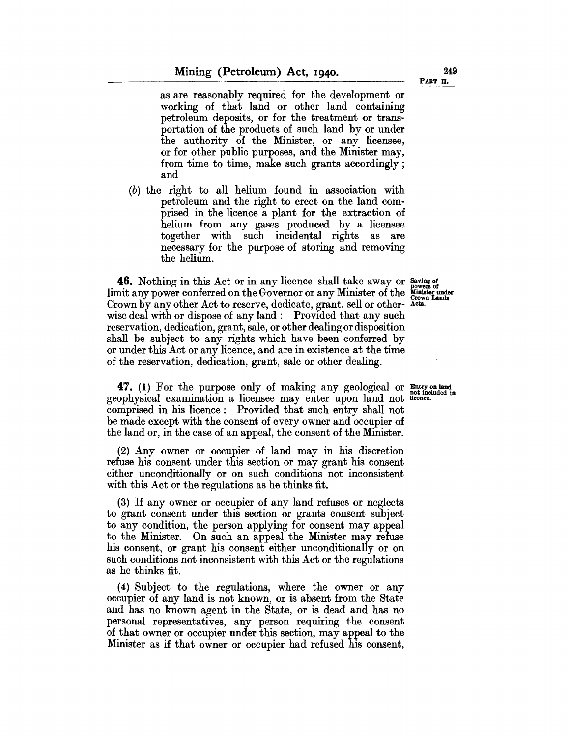as are reasonably required for the development or working of that land or other land containing petroleum deposits, or for the treatment or transportation of the products of such land by or under the authority of the Minister, or any licensee, or for other public purposes, and the Minister may, from time to time, make such grants accordingly; and

(b) the right to all helium found in association with petroleum and the right to erect on the land comprised in the licence a plant for the extraction of helium from any gases produced by a licensee together with such incidental rights as are necessary for the purpose of storing and removing the helium.

**46.** Nothing in this Act or in any licence shall take away or Saving of limit any power conferred on the Governor or any Minister of the  $\frac{\text{Mimister under}}{\text{Crown Lands}}}$ <br>Crown by any other Act to reserve, dedicate, grant, sell or other- Acts. wise deal with or dispose of any land: Provided that any such reservation, dedication, grant, sale, or other dealing or disposition shall be subject to any rights which have been conferred by or under this Act or any licence, and are in existence at the time of the reservation, dedication, grant, sale or other dealing.

**47.** (1) For the purpose only of making any geological or  $\frac{m}{\text{not included in}}$ geophysical examination a licensee may enter upon land not licence. comprised in his licence: Provided that such entry shall not be made except with the consent of every owner and occupier of the land or, in the case of an appeal, the consent of the Minister.

(2) Any owner or occupier of land may in his discretion refuse his consent under this section or may grant his consent either unconditionally or on such conditions not inconsistent with this Act or the regulations as he thinks fit.

(3) If any owner or occupier of any land refuses or neglects to grant consent under this section or grants consent subject to any condition, the person applying for consent may appeal to the Minister. On such an appeal the Minister may refuse his consent, or grant his consent either unconditionally or on such conditions not inconsistent with this Act or the regulations as he thinks fit.

(4) Subject to the regulations, where the owner or any occupier of any land is not known, or is absent from the State and has no known agent in the State, or is dead and has no personal representatives, any person requiring the consent of that owner or occupier under this section, may appeal to the Minister as if that owner or occupier had refused his consent,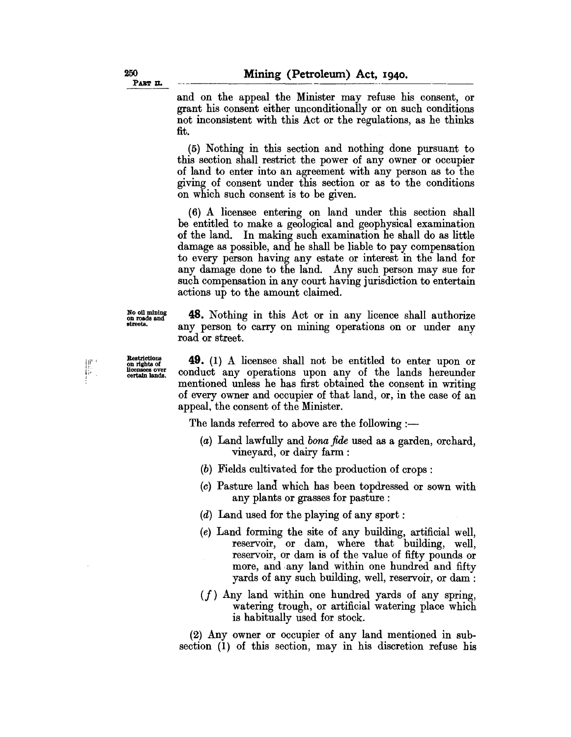and on the appeal the Minister may refuse his consent, or grant his consent either unconditionally or on such conditions not inconsistent with this Act or the regulations, as he thinks fit.

(5) Nothing in this section and nothing done pursuant to this section shall restrict the power of any owner or occupier of land to enter into an agreement with any person as to the giving of consent under this section or as to the conditions on which such consent is to be given.

(6) A licensee entering on land under this section shall be entitled to make a geological and geophysical examination of the land. In making such examination he shall do as little damage as possible, and he shall be liable to pay compensation to every person having any estate or interest in the land for any damage done to the land. Any such person may sue for such compensation in any court having jurisdiction to entertain actions up to the amount claimed.

No oil mining<br>on roads and streets.

**48.** Nothing in this Act or in any licence shall authorize any person to carry on mining operations on or under any road or street.

Restrictions on rights of licensees over certain lands.

把 F

**49.** (1) A licensee shall not be entitled to enter upon or conduct any operations upon any of the lands hereunder mentioned unless he has first obtained the consent in writing of every owner and occupier of that land, or, in the case of an appeal, the consent of the Minister.

The lands referred to above are the following :-

- (a) Land lawfully and bona *fide* used as a garden, orchard, vineyard, or dairy farm:
- (b) Fields cultivated for the production of crops:
- (c) Pasture land which has been topdressed or sown with any plants or grasses for pasture :
- (d) Land used for the playing of any sport:
- (e) Land forming the site of any building, artificial well, reservoir, or dam, where that building, well, reservoir, or dam is of the value of fifty pounds or more, and any land within one hundred and fifty yards of any such building, well, reservoir, or dam:
- $(f)$  Any land within one hundred yards of any spring, watering trough, or artificial watering place which is habitually used for stock.

(2) Any owner or occupier of any land mentioned in subsection (1) of this section, may in his discretion refuse his

260 PART **II.**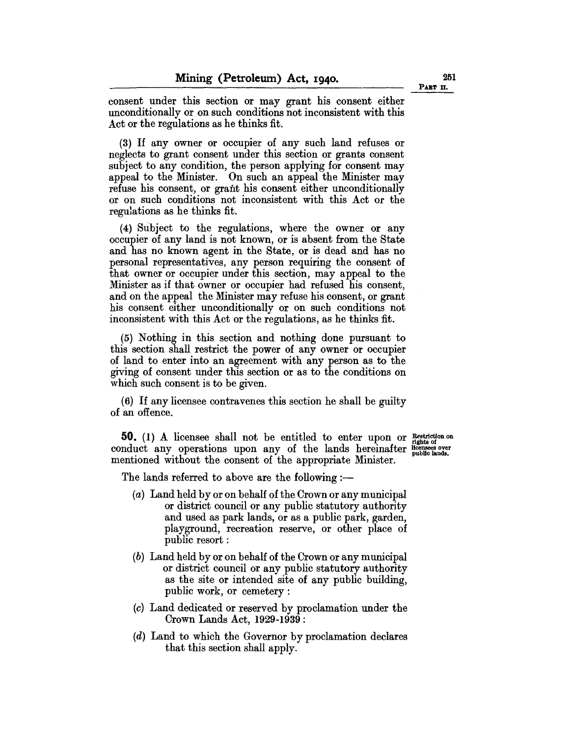consent under this section or may grant his consent either unconditionally or on such conditions not inconsistent with this Act or the regulations as he thinks fit.

(3) If any owner or occupier of any such land refuses or neglects to grant consent under this section or grants consent subject to any condition, the person applying for consent may appeal to the Minister. On such an appeal the Minister may refuse his consent, or grant his consent either unconditionally or on such conditions not inconsistent with this Act or the regulations as he thinks fit.

(4) Subject to the regulations, where the owner or any occupier of any land is not known, or is absent from the State and has no known agent in the State, or is dead and has no personal representatives, any person requiring the consent of that owner or occupier under this section, may appeal to the Minister as if that owner or occupier had refused his consent, and on the appeal the Minister may refuse his consent, or grant his consent either unconditionally or on such conditions not inconsistent with this Act or the regulations, as he thinks fit.

(5) Nothing in this section and nothing done pursuant to this section shall restrict the power of any owner or occupier of land to enter into an agreement with any person as to the giving of consent under this section or as to the conditions on which such consent is to be given.

(6) If any licensee contravenes this section he shall be guilty of an offence.

**50.** (1) A licensee shall not be entitled to enter upon or Restriction on conduct any operations upon any of the lands hereinafter  $\frac{1}{10}$  public lands. mentioned without the consent of the appropriate Minister.

The lands referred to above are the following  $:$ 

- (a) Land held by or on behalf of the Crown or any municipal or district council or any public statutory authority and used as park lands, or as a public park, garden, playground, recreation reserve, or other place of public resort :
- (b) Land held by or on behalf of the Crown or any municipal or district council or any public statutory authority as the site or intended site of any public building, public work, or cemetery:
- (c) Land dedicated or reserved by proclamation under the Crown Lands Act, 1929-1939:
- (d) Land to which the Governor by proclamation declares that this section shall apply.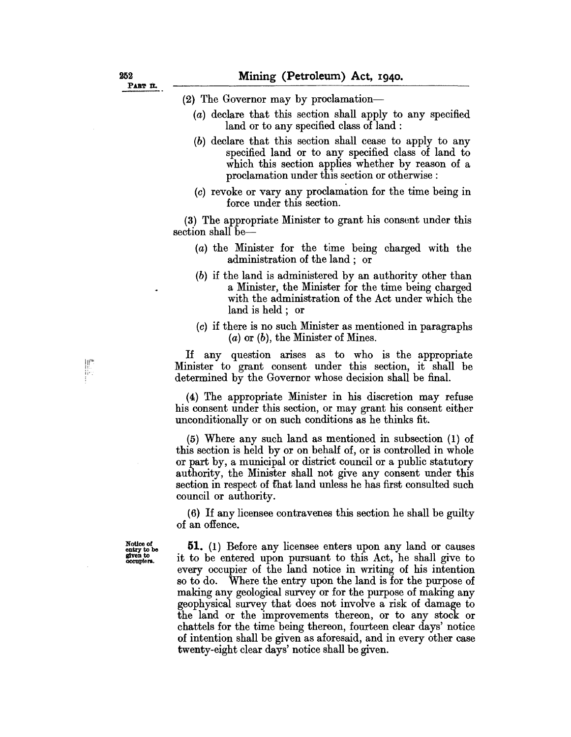- (2) The Governor may by proclamation---
	- (a) declare that this section shall apply to any specified land or to any specified class of land :
	- (b) declare that this section shall cease to apply to any specified land or to any specified class of land to which this section applies whether by reason of a proclamation under this section or otherwise:
	- (c) revoke or vary any proclamation for the time being in force under this section.

(3) The appropriate Minister to grant his consent under this section shall be-

- (a) the Minister for the time being charged with the administration of the land; or
- (b) if the land is administered by an authority other than a Minister, the Minister for the time being charged with the administration of the Act under which the land is held; or
- (c) if there is no such Minister as mentioned in paragraphs  $(a)$  or  $(b)$ , the Minister of Mines.

If any question arises as to who is the appropriate Minister to grant consent under this section, it shall be determined by the Governor whose decision shall be final.

(4) The appropriate Minister in his discretion may refuse his consent under this section, or may grant his consent either unconditionally or on such conditions as he thinks fit.

(5) Where any such land as mentioned in subsection (1) of this section is held by or on behalf of, or is controlled in whole or part by, a municipal or district council or a public statutory authority, the Minister shall not give any consent under this section in respect of that land unless he has first consulted such council or authority.

(6) If any licensee contravenes this section he shall be guilty of an offence.

Notice of entry to be<br>given to ccupiers.

JP

**51.** (1) Before any licensee enters upon any land or causes it to be entered upon pursuant to this Act, he shall give to every occupier of the land notice in writing of his intention so to do. Where the entry upon the land is for the purpose of making any geological survey or for the purpose of making any geophysical survey that does not involve a risk of damage to the land or the improvements thereon, or to any stock or chattels for the time being thereon, fourteen clear days' notice of intention shall be given as aforesaid, and in every other case twenty-eight clear days' notice shall be given.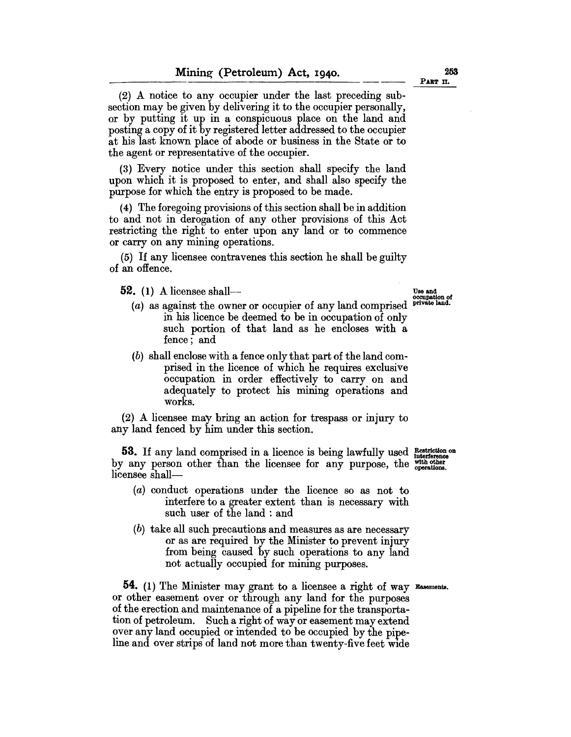(3) Every notice under this section shall specify the land upon which it is proposed to enter, and shall also specify the purpose for which the entry is proposed to be made.

(4) The foregoing provisions of this section shall be in addition to and not in derogation of any other provisions of this Act restricting the right to enter upon any land or to commence or carryon any mining operations.

(5) If any licensee contravenes this section he shall be guilty of an offence.

 $52. (1)$  A licensee shall---<br> $\frac{U_{\text{Be and}}}{U_{\text{cocupation of}}}}$ 

the agent or representative of the occupier.

- (a) as against the owner or occupier of any land comprised private land. in his licence be deemed to be in occupation of only such portion of that land as he encloses with a fence; and
- (b) shall enclose with a fence only that part of the land comprised in the licence of which he requires exclusive occupation in order effectively to carryon and adequately to protect his mining operations and works.

(2) A licensee may bring an action for trespass or injury to any land fenced by him under this section.

53. If any land comprised in a licence is being lawfully used **Restriction** on by any person other than the licensee for any purpose, the  $_{\text{overations}}^{\text{with other}}$ licensee shall-

- (a) conduct operations under the licence so as not to interfere to a greater extent than is necessary with such user of the land : and
- (b) take all such precautions and measures as are necessary or as are required by the Minister to prevent injury from being caused by such operations to any land not actually occupied for mining purposes.

54. (1) The Minister may grant to a licensee a right of way Easements. or other easement over or through any land for the purposes of the erection and maintenance of a pipeline for the transportation of petroleum. Such a right of way or easement may extend over any land occupied or intended to be occupied by the pipeline and over strips of land not more than twenty-five feet wide

PART II.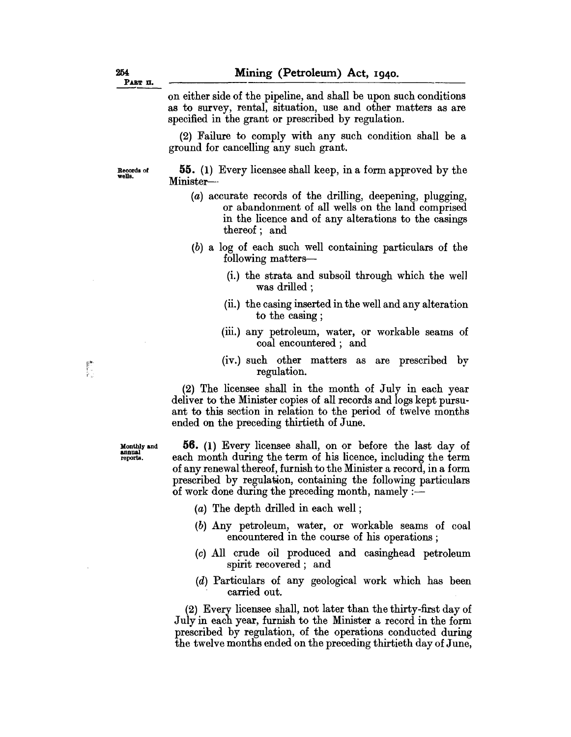on either side of the pipeline, and shall be upon such conditions as to survey, rental, situation, use and other matters as are specified in the grant or prescribed by regulation.

(2) Failure to comply with any such condition shall be a ground for cancelling any such grant.

Records of wells.

**55.** (1) Every licensee shall keep, in a form approved by the Minister-

- (a) accurate records of the drilling, deepening, plugging, or abandonment of all wells on the land comprised in the licence and of any alterations to the casings thereof; and
- (b) a log of each such well containing particulars of the following matters-
	- (i.) the strata and subsoil through which the weI1 was drilled;
	- (ii.) the casing inserted in the well and any alteration to the casing ;
	- (iii.) any petroleum, water, or workable seams of coal encountered; and
	- $(iv.)$  such other matters as are prescribed by regulation.

(2) The licensee shall in the month of July in each year deliver to the Minister copies of all records and logs kept pursuant to this section in relation to the period of twelve months ended on the preceding thirtieth of June.

**56.** (1) Every licensee shall, on or before the last day of each month during the term of his licence, including the term of any renewal thereof, furnish to the Minister a record, in a form prescribed by regulation, containing the following particulars of work done during the preceding month, namely  $:$ 

- (a) The depth drilled in each well ;
- (b) Any petroleum, water, or workable seams of coal encountered in the course of his operations ;
- (c) All crude oil produced and casinghead petroleum spirit recovered; and
- (d) Particulars of any geological work which has been carried out.

(2) Every licensee shall, not later than the thirty-first day of July in each year, furnish to the Minister a record in the form prescribed by regulation, of the operations conducted during the twelve months ended on the preceding thirtieth day of June,

Monthly and annual reports.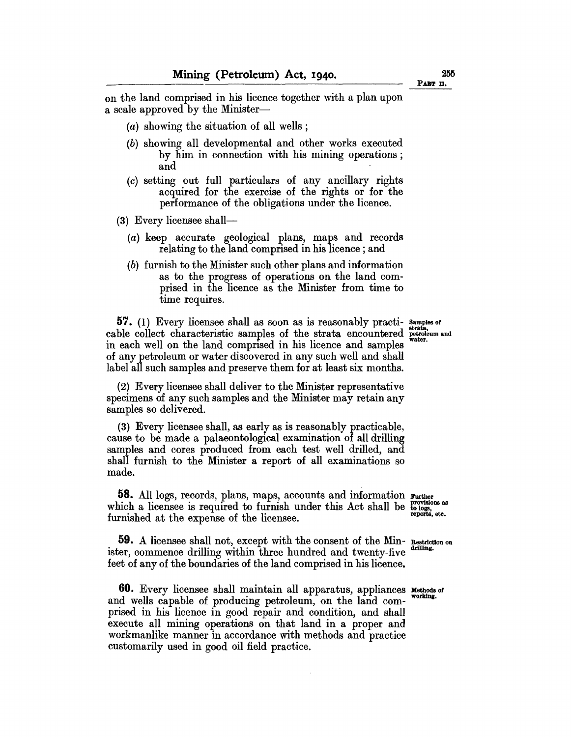on the land comprised in his licence together with a plan upon a scale approved by the Minister-

- (*a*) showing the situation of all wells;
- (b) showing all developmental and other works executed by him in connection with his mining operations; and
- (c) setting out full particulars of any ancillary rights acquired for the exercise of the rights or for the performance of the obligations under the licence.
- (3) Every licensee shall-
	- (a) keep accurate geological plans, maps and records relating to the land comprised in his licence; and
	- (b) furnish to the Minister such other plans and information as to the progress of operations on the land comprised in the licence as the Minister from time to time requires.

**57.** (1) Every licensee shall as soon as is reasonably practi- Samples of cable collect characteristic samples of the strata encountered  $\frac{1}{2}$ in each well on the land comprised in his licence and samples of any petroleum or water discovered in any such well and shall label all such samples and preserve them for at least six months.

(2) Every licensee shall deliver to the Minister representative specimens of any such samples and the Minister may retain any samples so delivered.

(3) Every licensee shall, as early as is reasonably practicable, cause to be made a palaeontological examination of all drilling samples and cores produced from each test well drilled, and shall furnish to the Minister a report of all examinations so made.

**58.** All logs, records, plans, maps, accounts and information Further which a licensee is required to furnish under this Act shall be  $\frac{proxisions}{\log s}$ , furnished at the expense of the licensee.

**59.** A licensee shall not, except with the consent of the Min- Restriction on ister, commence drilling within three hundred and twenty-five feet of any of the boundaries of the land comprised in his licence.

**60.** Every licensee shall maintain all apparatus, appliances Methods of and wells capable of producing petroleum, on the land comprised in his licence in good repair and condition, and shall execute all mining operations on that land in a proper and workmanlike manner in accordance with methods and practice customarily used in good oil field practice.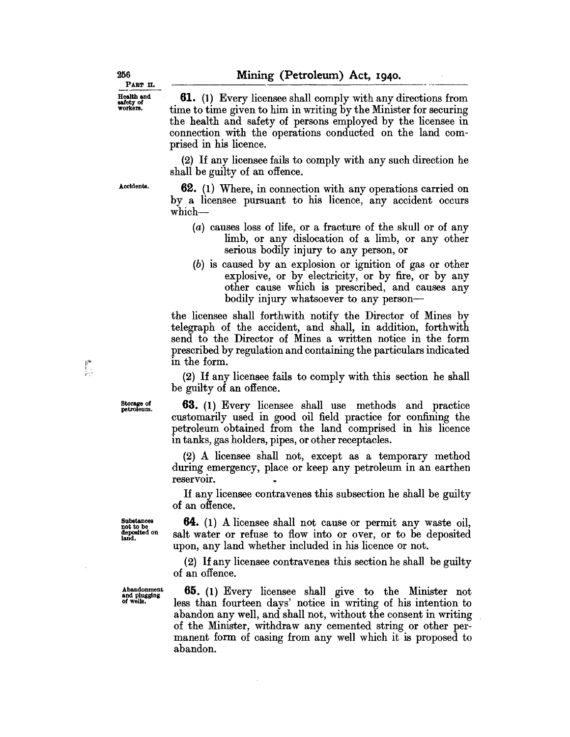**61.** (l) Every licensee shall comply with any directions from time to time given to him in writing by the Minister for securing the health and safety of persons employed by the licensee in connection with the operations conducted on the land comprised in his licence.

(2) If any licensee fails to comply with any such direction he shall be guilty of an offence.

Accidents.

**62.** (1) Where, in connection with any operations carried on by a licensee pursuant to his licence, any accident occurs which-

- (a) causes loss of life, or a fracture of the skull or of any limb, or any dislocation of a limb, or any other serious bodily injury to any person, or
- (b) is caused by an explosion or ignition of gas or other explosive, or by electricity, or by fire, or by any other cause which is prescribed, and causes any bodily injury whatsoever to any person-

the licensee shall forthwith notify the Director of Mines by telegraph of the accident, and shall, in addition, forthwith send to the Director of Mines a written notice in the form prescribed by regulation and containing the particulars indicated in the form.

(2) If any licensee fails to comply with this section he shall be guilty of an offence.

**63.** (1) Every licensee shall use methods and practice customarily used in good oil field practice for confining the petroleum obtained from the land comprised in his licence in tanks, gas holders, pipes, or other receptacles.

(2) A licensee shall not, except as a temporary method during emergency, place or keep any petroleum in an earthen reservoir.

If any licensee contravenes this subsection he shall be guilty of an offence.

**64.** (l) A licensee shall not cause or permit any waste oil, salt water or refuse to flow into or over, or to be deposited upon, any land whether included in his licence or not.

(2) If any licensee contravenes this section he shall be guilty of an offence.

**65.** (1) Every licensee shall give to the Minister not less than fourteen days' notice in writing of his intention to abandon any well, and shall not, without the consent in writing of the Minister, withdraw any cemented string or other permanent form of casing from any well which it is proposed to abandon.

Storage of petroleum.

提示

Abandonment and plugging of wells.

Substances not to be deposited on land.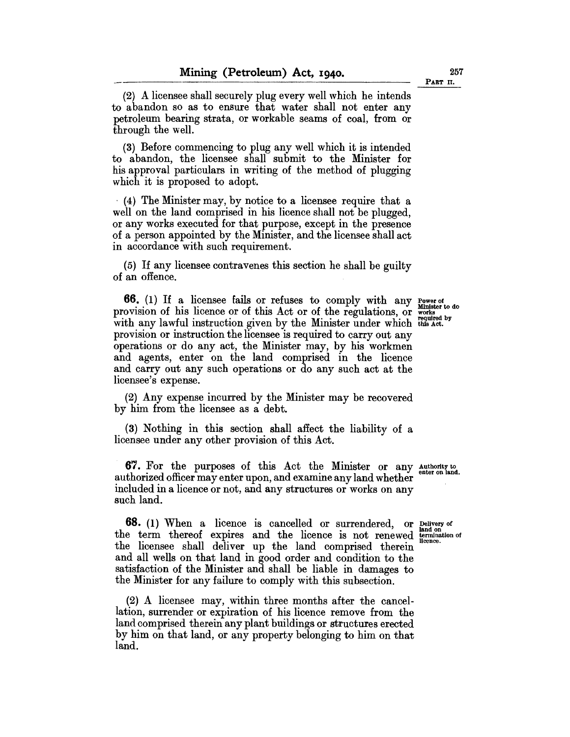(2) A licensee shall securely plug every well which he intends to abandon so as to ensure that water shall not enter any petroleum bearing strata, or workable seams of coal, from or through the well.

(3) Before commencing to plug any well which it is intended to abandon, the licensee shall submit to the Minister for his approval particulars in writing of the method of plugging which it is proposed to adopt.

. (4) The Minister may, by notice to a licensee require that a well on the land comprised in his licence shall not be plugged, or any works executed for that purpose, except in the presence of a person appointed by the Minister, and the licensee shall act in accordance with such requirement.

(5) If any licensee contravenes this section he shall be guilty of an offence.

**66.** (1) If a licensee fails or refuses to comply with any Power of Minister to do provision of his licence or of this Act or of the regulations, or works with any lawful instruction given by the Minister under which this Act. provision or instruction the licensee is required to carry out any operations or do any act, the Minister may, by his workmen and agents, enter on the land comprised in the licence and carry out any such operations or do any such act at the licensee's expense,

(2) Any expense incurred by the Minister may be recovered by him from the licensee as a debt.

(3) Nothing in this section shall affect the liability of a licensee under any other provision of this Act.

**67.** For the purposes of this Act the Minister or any Authority to authorized officer may enter upon, and examine any land whether included in a licence or not, and any structures or works on any such land.

**68.** (1) When a licence is cancelled or surrendered, or Delivery of the term thereof expires and the licence is not renewed  $_{\text{iteration of}}^{t_{\text{transition}}}$ the licensee shall deliver up the land comprised therein and all wells on that land in good order and condition to the satisfaction of the Minister and shall be liable in damages to the Minister for any failure to comply with this subsection,

(2) A licensee may, within three months after the cancellation, surrender or expiration of his licence remove from the land comprised therein any plant buildings or structures erected by him on that land, or any property belonging to him on that land.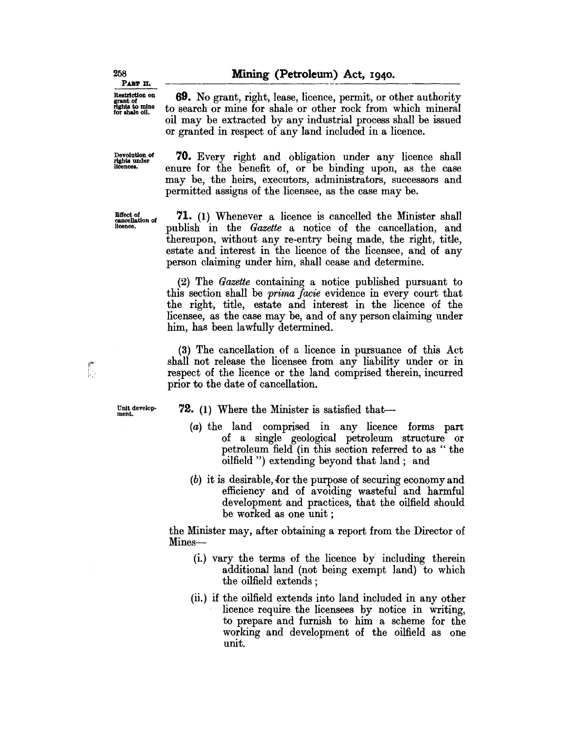69. No grant, right, lease, licence, permit, or other authority to search or mine for shale or other rock from which mineral oil may be extracted by any industrial process shall be issued

Restriction on grant of rights to mine for shale 011.

PART II.

Devolution of rights under licences.

Elfect *01*  cancellation of licence.

70. Every right and obligation under any licence shall enure for the benefit of, or be binding upon, as the case may be, the heirs, executors, administrators, successors and permitted assigns of the licensee, as the case may be.

or granted in respect of any land included in a licence.

71. (1) Whenever a licence is cancelled the Minister shall publish in the *Gazette* a notice of the cancellation, and thereupon, without any re-entry being made, the right, title, estate and interest in the licence of the licensee, and of any person claiming under him, shall cease and determine.

(2) The *Gazette* containing a notice published pursuant to this section shall be *prima facie* evidence in every court that the right, title, estate and interest in the licence of the licensee, as the case may be, and of any person claiming under him, has been lawfully determined.

(3) The cancellation of a licence in pursuance of this Act shall not release the licensee from any liability under or in respect of the licence or the land comprised therein, incurred prior to the date of cancellation.

Unit development.

**72.** (1) Where the Minister is satisfied that--

- (a) the land comprised in any licence forms part of a single geological petroleum structure or petroleum field (in this section referred to as " the oilfield ") extending beyond that land; and
- $(b)$  it is desirable, for the purpose of securing economy and efficiency and of a voiding wasteful and harmful development and practices, that the oilfield should be worked as one unit;

the Minister may, after obtaining a report from the Director of Mines-

- (i.) vary the terms of the licence by including therein additional land (not being exempt land) to which the oilfield extends ;
- (ii.) if the oilfield extends into land included in any other licence require the licensees by notice in writing, to prepare and furnish to him a scheme for the working and development of the oilfield as one unit.

258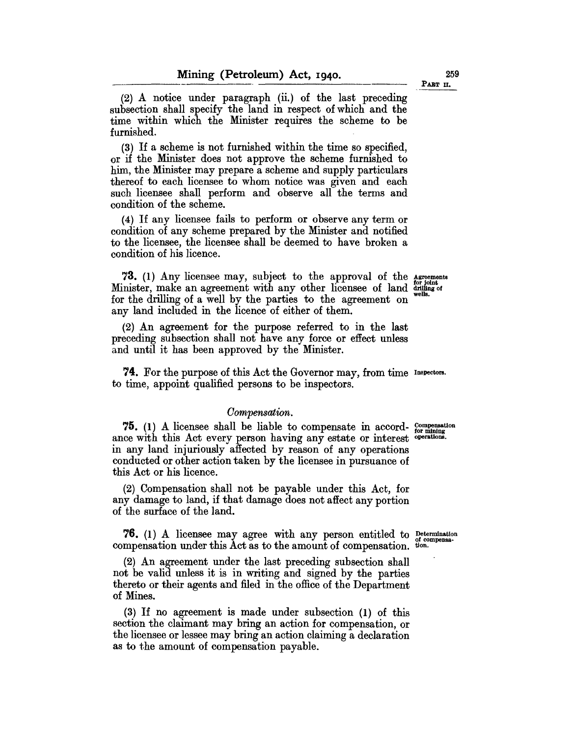(2) A notice under paragraph (ii.) of the last preceding subsection shall specify the land in respect of which and the time within which the Minister requires the scheme to be furnished.

(3) If a scheme is not furnished within the time so specified, or if the Minister does not approve the scheme furnished to him, the Minister may prepare a scheme and supply particulars thereof to each licensee to whom notice was given and each such licensee shall perform and observe all the terms and condition of the scheme.

(4) If any licensee fails to perform or observe any term or condition of any scheme prepared by the Minister and notified to the licensee, the licensee shall be deemed to have broken a condition of his licence.

**73.** (1) Any licensee may, subject to the approval of the Agreements Minister, make an agreement with any other licensee of land  $\frac{W}{W}$  wells.<br>for the drilling of a well by the parties to the agreement on wells. any land included in the licence of either of them.

(2) An agreement for the purpose referred to in the last preceding subsection shall not have any force or effect unless and until it has been approved by the Minister.

**74.** For the purpose of this Act the Governor may, from time Inspectors. to time, appoint qualified persons to be inspectors.

#### *Oompensation.*

**75.** (1) A licensee shall be liable to compensate in accord-  $_{\text{for mining}}^{_{\text{compensation}}}$ ance with this Act every person having any estate or interest operations. in any land injuriously affected by reason of any operations conducted or other action taken by the licensee in pursuance of this Act or his licence.

(2) Compensation shall not be payable under this Act, for any damage to land, if that damage does not affect any portion of the surface of the land.

**76.** (1) A licensee may agree with any person entitled to Determination under this Act as to the amount of comparation of compensation compensation under this Act as to the amount of compensation.

(2) An agreement under the last preceding subsection shall not be valid unless it is in writing and signed by the parties thereto or their agents and filed in the office of the Department of Mines.

(3) If no agreement is made under subsection (1) of this section the claimant may bring an action for compensation, or the licensee or lessee may bring an action claiming a declaration as to the amount of compensation payable.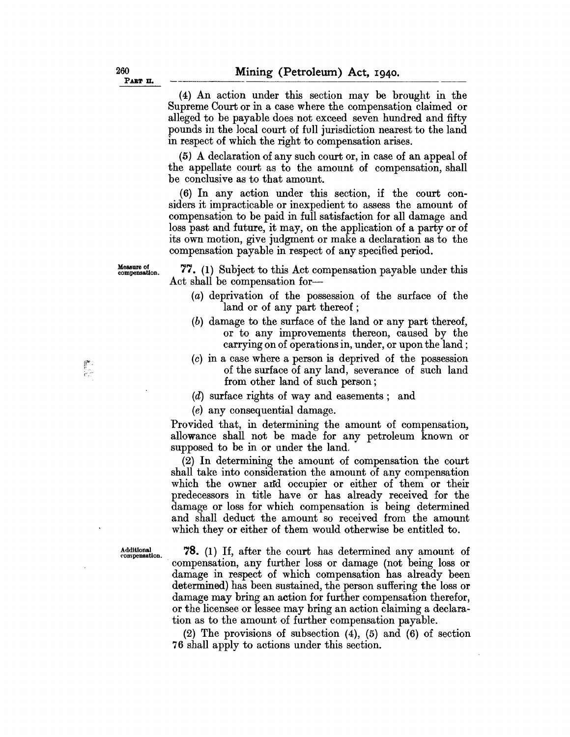(4) An action under this section may be brought in the Supreme Court or in a case where the compensation claimed or alleged to be payable does not exceed seven hundred and fifty pounds in the local court of full jurisdiction nearest to the land in respect of which the right to compensation arises.

(5) A declaration of any such court or, in case of an appeal of the appellate court as to the amount of compensation, shall be conclusive as to that amount.

(6) In any action under this section, if the court considers it impracticable or inexpedient to assess the amount of compensation to be paid in full satisfaction for all damage and loss past and future, it may, on the application of a party or of its own motion, give judgment or make a declaration as to the compensation payable in respect of any specified period.

Measure of compensation.

體

77. (1) Subject to this Act compensation payable under this Act shall be compensation for-

- (a) deprivation of the possession of the surface of the land or of any part thereof ;
- (b) damage to the surface of the land or any part thereof, or to any improvements thereon, caused by the carrying on of operations in, under, or upon the land;
- (c) in a case where a person is deprived of the possession of the surface of any land, severance of such land from other land of such person;
- (d) surface rights of way and easements; and

(e) any consequential damage.

Provided that, in determining the amount of compensation, allowance shall not be made for any petroleum known or supposed to be in or under the land,

(2) In determining the amount of compensation the court shall take into consideration the amount of any compensation which the owner and occupier or either of them or their predecessors in title have or has already received for the damage or loss for which compensation is being determined and shall deduct the amount so received from the amount which they or either of them would otherwise be entitled to.

Additional . 78. (1) If, after the court has determined any amount of compensation, any further loss or damage (not being loss or damage in respect of which compensation has already been determined) has been sustained, the person suffering the loss or damage may bring an action for further compensation therefor, or the licensee or lessee may bring an action claiming a declaration as to the amount of further compensation payable.

> (2) The provisions of subsection (4), (5) and (6) of section 76 shall apply to actions under this section.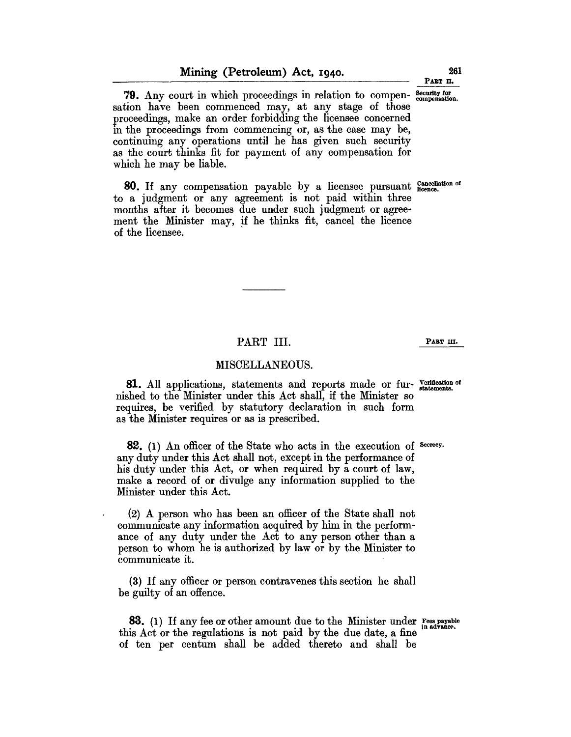79. Any court in which proceedings in relation to compen- Security for sation have been commenced may, at any stage of those proceedings, make an order forbidding the licensee concerned in the proceedings from commencing or, as the case may be, continuing any operations until he has given such security as the court thinks fit for payment of any compensation for which he may be liable.

80. If any compensation payable by a licensee pursuant Gancellation of to a judgment or any agreement is not paid within three months after it becomes due under such judgment or agreement the Minister may, if he thinks fit, cancel the licence of the licensee. .

# PART III. PART III.

#### MISCELLANEOUS.

PART I<br>
MISCELLAN<br>
81. All applications, statement<br>
shed to the Minister under this<br>
quires, be verified by statutor<br>
the Minister requires or as is pr 81. All applications, statements and reports made or fur- Verification of nished to the Minister under this Act shall, if the Minister so requires, be verified by statutory declaration in such form as the Minister requires or as is prescribed.

82. (1) An officer of the State who acts in the execution of Secrecy. any duty under this Act shall not, except in the performance of his duty under this Act, or when required by a court of law, make a record of or divulge any information supplied to the Minister under this Act.

(2) A person who has been an officer of the State shall not communicate any information acquired by him in the performance of any duty under the Act to any person other than a person to whom he is authorized by law or by the Minister to communicate it.

(3) If any officer or person contravenes this section he shall be guilty of an offence.

83. (1) If any fee or other amount due to the Minister under  $F_{\text{res}}^{\text{ces payable}}$ this Act or the regulations is not paid by the due date, a fine of ten per centum shall be added thereto and shall be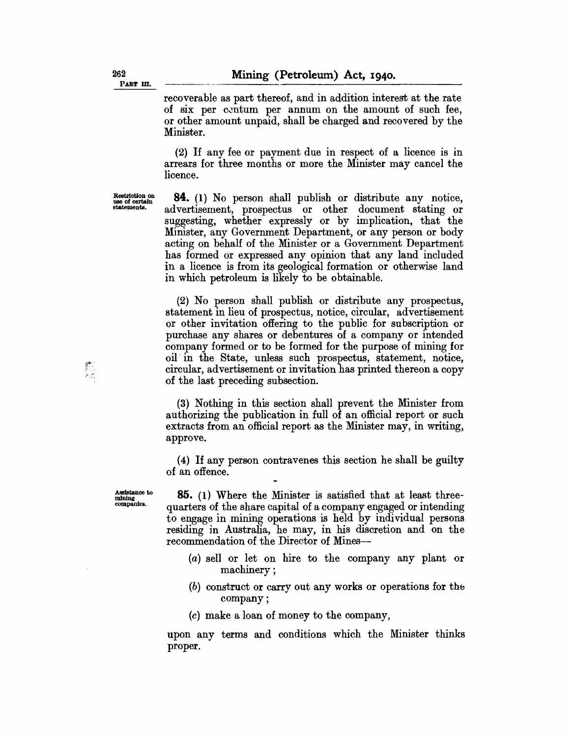recoverable as part thereof, and in addition interest at the rate of six per centum per annum on the amount of such fee, or other amount unpaid, shall be charged and recovered by the Minister.

(2) If any fee or payment due in respect of a licence is in arrears for three months or more the Minister may cancel the licence.

Restriction on use of certain statemente.

**84.** (1) No person shall publish or distribute any notice, advertisement, prospectus or other document stating or suggesting, whether expressly or by implication, that the Minister, any Government Department, or any person or body acting on behalf of the Minister or a Government Department has formed or expressed any opinion that any land included in a licence is from its geological formation or otherwise land in which petroleum is likely to be obtainable.

(2) No person shall publish or distribute any prospectus, statement in lieu of prospectus, notice, circular, advertisement or other invitation offering to the public for subscription or purchase any shares or debentures of a company or intended company formed or to be formed for the purpose of mining for oil' in the State, unless such prospectus, statement, notice, circular, advertisement or invitation has printed thereon a copy of the last preceding subsection.

(3) Nothing in this section shall prevent the Minister from authorizing the publication in full of an official report or such extracts from an official report as the Minister may, in writing, approve.

(4) If any person contravenes this section he shall be guilty of an offence.

Assistance to mining companies.

;. ,."

**85.** (1) Where the Minister is satisfied that at least threequarters of the share capital of a company engaged or intending to engage in mining operations is held by individual persons residing in Australia, he may, in his discretion and on the recommendation of the Director of Mines--

- (a) sell or let on hire to the company any plant or machinery;
- $(b)$  construct or carry out any works or operations for the company;
- (c) make a loan of money to the company,

upon any terms and conditions which the Minister thinks proper.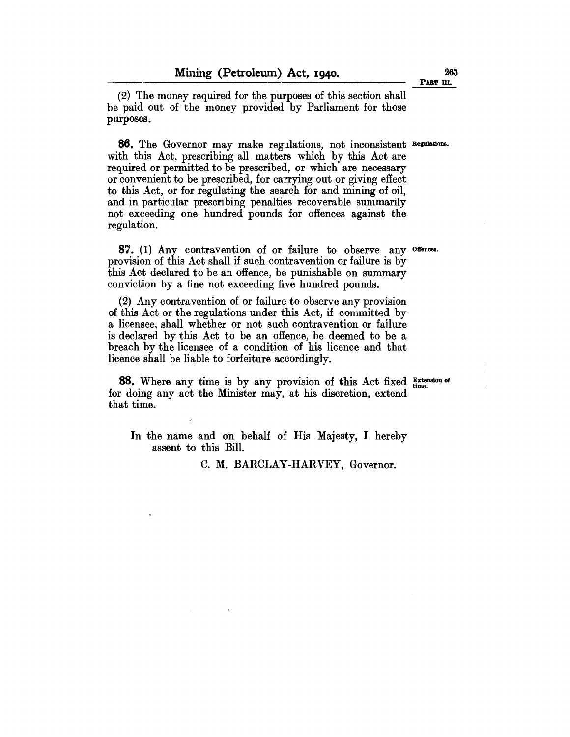**Mining (Petroleum) Act, 1940.**<br>
(2) The money required for the purposes of this section shall be paid out of the money provided by Parliament for those purposes.

**86.** The Governor may make regulations, not inconsistent Regulations. with this Act, prescribing all matters which by this Act are required or permitted to be prescribed, or which are necessary or convenient to be prescribed, for carrying out or giving effect to this Act, or for regulating the search for and mining of oil, and in particular prescribing penalties recoverable summarily not exceeding one hundred pounds for offences against the regulation.

**87.** (1) Any contravention of or failure to observe any Offences. provision of this Act shall if such contravention or failure is by this Act declared to be an offence, be punishable on summary conviction by a fine not exceeding five hundred pounds.

(2) Any contravention of or failure to observe any provision of this Act or the regulations under this Act, if committed by a licensee, shall whether or not such contravention or failure is declared by this Act to be an offence, be deemed to be a breach by the licensee of a condition of his licence and that licence shall be liable to forfeiture accordingly.

88. Where any time is by any provision of this Act fixed Extension of for doing any act the Minister may, at his discretion, extend that time.

In the name and on behalf of His Majesty, I hereby assent to this Bill.

C. M. BARCLAY-HARVEY, Governor.